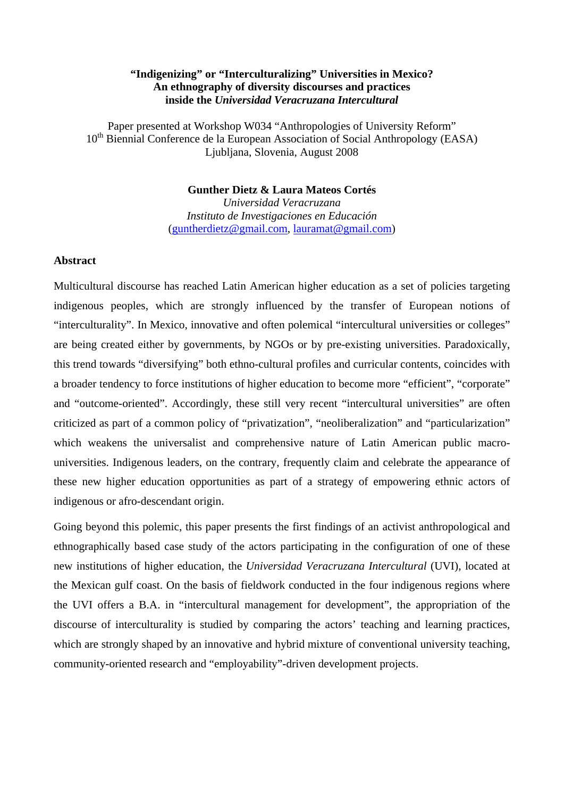# **"Indigenizing" or "Interculturalizing" Universities in Mexico? An ethnography of diversity discourses and practices inside the** *Universidad Veracruzana Intercultural*

Paper presented at Workshop W034 "Anthropologies of University Reform" 10<sup>th</sup> Biennial Conference de la European Association of Social Anthropology (EASA) Ljubljana, Slovenia, August 2008

### **Gunther Dietz & Laura Mateos Cortés**

*Universidad Veracruzana Instituto de Investigaciones en Educación*  (guntherdietz@gmail.com, lauramat@gmail.com)

## **Abstract**

Multicultural discourse has reached Latin American higher education as a set of policies targeting indigenous peoples, which are strongly influenced by the transfer of European notions of "interculturality". In Mexico, innovative and often polemical "intercultural universities or colleges" are being created either by governments, by NGOs or by pre-existing universities. Paradoxically, this trend towards "diversifying" both ethno-cultural profiles and curricular contents, coincides with a broader tendency to force institutions of higher education to become more "efficient", "corporate" and "outcome-oriented". Accordingly, these still very recent "intercultural universities" are often criticized as part of a common policy of "privatization", "neoliberalization" and "particularization" which weakens the universalist and comprehensive nature of Latin American public macrouniversities. Indigenous leaders, on the contrary, frequently claim and celebrate the appearance of these new higher education opportunities as part of a strategy of empowering ethnic actors of indigenous or afro-descendant origin.

Going beyond this polemic, this paper presents the first findings of an activist anthropological and ethnographically based case study of the actors participating in the configuration of one of these new institutions of higher education, the *Universidad Veracruzana Intercultural* (UVI), located at the Mexican gulf coast. On the basis of fieldwork conducted in the four indigenous regions where the UVI offers a B.A. in "intercultural management for development", the appropriation of the discourse of interculturality is studied by comparing the actors' teaching and learning practices, which are strongly shaped by an innovative and hybrid mixture of conventional university teaching, community-oriented research and "employability"-driven development projects.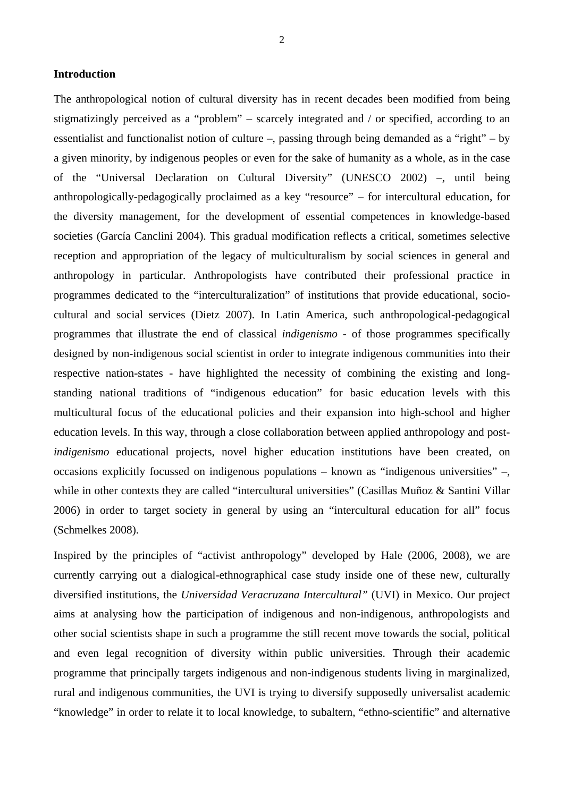### **Introduction**

The anthropological notion of cultural diversity has in recent decades been modified from being stigmatizingly perceived as a "problem" – scarcely integrated and / or specified, according to an essentialist and functionalist notion of culture –, passing through being demanded as a "right" – by a given minority, by indigenous peoples or even for the sake of humanity as a whole, as in the case of the "Universal Declaration on Cultural Diversity" (UNESCO 2002) –, until being anthropologically-pedagogically proclaimed as a key "resource" – for intercultural education, for the diversity management, for the development of essential competences in knowledge-based societies (García Canclini 2004). This gradual modification reflects a critical, sometimes selective reception and appropriation of the legacy of multiculturalism by social sciences in general and anthropology in particular. Anthropologists have contributed their professional practice in programmes dedicated to the "interculturalization" of institutions that provide educational, sociocultural and social services (Dietz 2007). In Latin America, such anthropological-pedagogical programmes that illustrate the end of classical *indigenismo* - of those programmes specifically designed by non-indigenous social scientist in order to integrate indigenous communities into their respective nation-states - have highlighted the necessity of combining the existing and longstanding national traditions of "indigenous education" for basic education levels with this multicultural focus of the educational policies and their expansion into high-school and higher education levels. In this way, through a close collaboration between applied anthropology and post*indigenismo* educational projects, novel higher education institutions have been created, on occasions explicitly focussed on indigenous populations – known as "indigenous universities" –, while in other contexts they are called "intercultural universities" (Casillas Muñoz & Santini Villar 2006) in order to target society in general by using an "intercultural education for all" focus (Schmelkes 2008).

Inspired by the principles of "activist anthropology" developed by Hale (2006, 2008), we are currently carrying out a dialogical-ethnographical case study inside one of these new, culturally diversified institutions, the *Universidad Veracruzana Intercultural"* (UVI) in Mexico. Our project aims at analysing how the participation of indigenous and non-indigenous, anthropologists and other social scientists shape in such a programme the still recent move towards the social, political and even legal recognition of diversity within public universities. Through their academic programme that principally targets indigenous and non-indigenous students living in marginalized, rural and indigenous communities, the UVI is trying to diversify supposedly universalist academic "knowledge" in order to relate it to local knowledge, to subaltern, "ethno-scientific" and alternative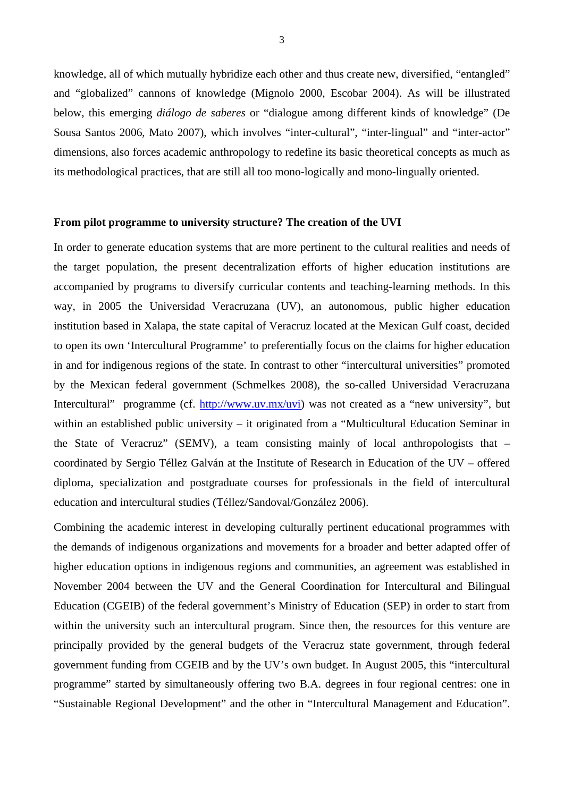knowledge, all of which mutually hybridize each other and thus create new, diversified, "entangled" and "globalized" cannons of knowledge (Mignolo 2000, Escobar 2004). As will be illustrated below, this emerging *diálogo de saberes* or "dialogue among different kinds of knowledge" (De Sousa Santos 2006, Mato 2007), which involves "inter-cultural", "inter-lingual" and "inter-actor" dimensions, also forces academic anthropology to redefine its basic theoretical concepts as much as its methodological practices, that are still all too mono-logically and mono-lingually oriented.

#### **From pilot programme to university structure? The creation of the UVI**

In order to generate education systems that are more pertinent to the cultural realities and needs of the target population, the present decentralization efforts of higher education institutions are accompanied by programs to diversify curricular contents and teaching-learning methods. In this way, in 2005 the Universidad Veracruzana (UV), an autonomous, public higher education institution based in Xalapa, the state capital of Veracruz located at the Mexican Gulf coast, decided to open its own 'Intercultural Programme' to preferentially focus on the claims for higher education in and for indigenous regions of the state. In contrast to other "intercultural universities" promoted by the Mexican federal government (Schmelkes 2008), the so-called Universidad Veracruzana Intercultural" programme (cf. http://www.uv.mx/uvi) was not created as a "new university", but within an established public university – it originated from a "Multicultural Education Seminar in the State of Veracruz" (SEMV), a team consisting mainly of local anthropologists that – coordinated by Sergio Téllez Galván at the Institute of Research in Education of the UV – offered diploma, specialization and postgraduate courses for professionals in the field of intercultural education and intercultural studies (Téllez/Sandoval/González 2006).

Combining the academic interest in developing culturally pertinent educational programmes with the demands of indigenous organizations and movements for a broader and better adapted offer of higher education options in indigenous regions and communities, an agreement was established in November 2004 between the UV and the General Coordination for Intercultural and Bilingual Education (CGEIB) of the federal government's Ministry of Education (SEP) in order to start from within the university such an intercultural program. Since then, the resources for this venture are principally provided by the general budgets of the Veracruz state government, through federal government funding from CGEIB and by the UV's own budget. In August 2005, this "intercultural programme" started by simultaneously offering two B.A. degrees in four regional centres: one in "Sustainable Regional Development" and the other in "Intercultural Management and Education".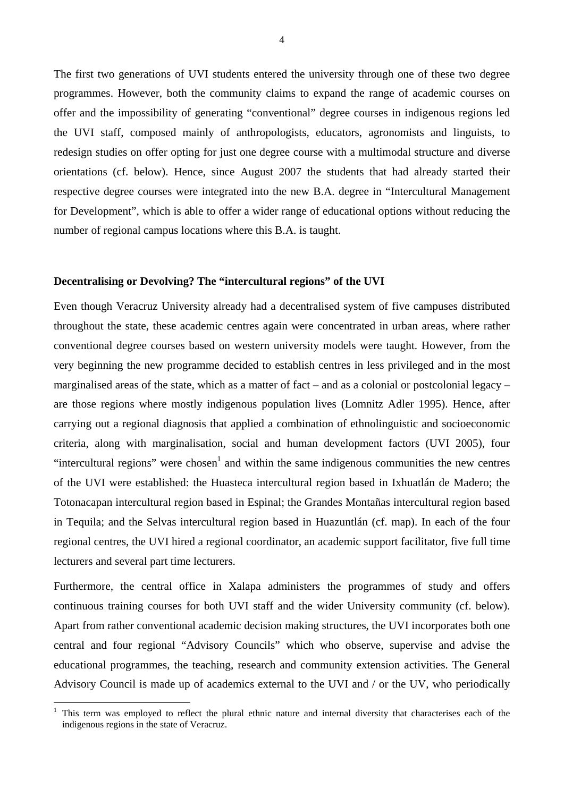The first two generations of UVI students entered the university through one of these two degree programmes. However, both the community claims to expand the range of academic courses on offer and the impossibility of generating "conventional" degree courses in indigenous regions led the UVI staff, composed mainly of anthropologists, educators, agronomists and linguists, to redesign studies on offer opting for just one degree course with a multimodal structure and diverse orientations (cf. below). Hence, since August 2007 the students that had already started their respective degree courses were integrated into the new B.A. degree in "Intercultural Management for Development", which is able to offer a wider range of educational options without reducing the number of regional campus locations where this B.A. is taught.

#### **Decentralising or Devolving? The "intercultural regions" of the UVI**

Even though Veracruz University already had a decentralised system of five campuses distributed throughout the state, these academic centres again were concentrated in urban areas, where rather conventional degree courses based on western university models were taught. However, from the very beginning the new programme decided to establish centres in less privileged and in the most marginalised areas of the state, which as a matter of fact – and as a colonial or postcolonial legacy – are those regions where mostly indigenous population lives (Lomnitz Adler 1995). Hence, after carrying out a regional diagnosis that applied a combination of ethnolinguistic and socioeconomic criteria, along with marginalisation, social and human development factors (UVI 2005), four "intercultural regions" were chosen $<sup>1</sup>$  and within the same indigenous communities the new centres</sup> of the UVI were established: the Huasteca intercultural region based in Ixhuatlán de Madero; the Totonacapan intercultural region based in Espinal; the Grandes Montañas intercultural region based in Tequila; and the Selvas intercultural region based in Huazuntlán (cf. map). In each of the four regional centres, the UVI hired a regional coordinator, an academic support facilitator, five full time lecturers and several part time lecturers.

Furthermore, the central office in Xalapa administers the programmes of study and offers continuous training courses for both UVI staff and the wider University community (cf. below). Apart from rather conventional academic decision making structures, the UVI incorporates both one central and four regional "Advisory Councils" which who observe, supervise and advise the educational programmes, the teaching, research and community extension activities. The General Advisory Council is made up of academics external to the UVI and / or the UV, who periodically

 $\overline{a}$ 

<sup>1</sup> This term was employed to reflect the plural ethnic nature and internal diversity that characterises each of the indigenous regions in the state of Veracruz.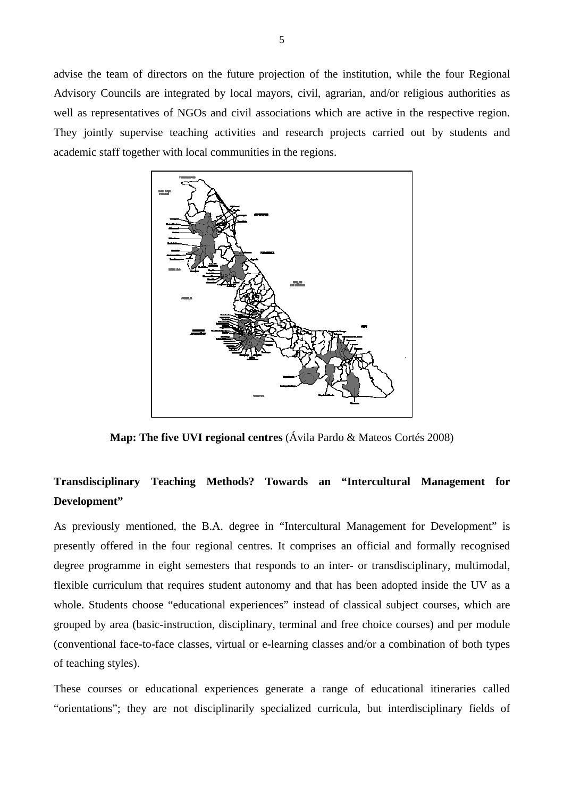advise the team of directors on the future projection of the institution, while the four Regional Advisory Councils are integrated by local mayors, civil, agrarian, and/or religious authorities as well as representatives of NGOs and civil associations which are active in the respective region. They jointly supervise teaching activities and research projects carried out by students and academic staff together with local communities in the regions.



**Map: The five UVI regional centres** (Ávila Pardo & Mateos Cortés 2008)

# **Transdisciplinary Teaching Methods? Towards an "Intercultural Management for Development"**

As previously mentioned, the B.A. degree in "Intercultural Management for Development" is presently offered in the four regional centres. It comprises an official and formally recognised degree programme in eight semesters that responds to an inter- or transdisciplinary, multimodal, flexible curriculum that requires student autonomy and that has been adopted inside the UV as a whole. Students choose "educational experiences" instead of classical subject courses, which are grouped by area (basic-instruction, disciplinary, terminal and free choice courses) and per module (conventional face-to-face classes, virtual or e-learning classes and/or a combination of both types of teaching styles).

These courses or educational experiences generate a range of educational itineraries called "orientations"; they are not disciplinarily specialized curricula, but interdisciplinary fields of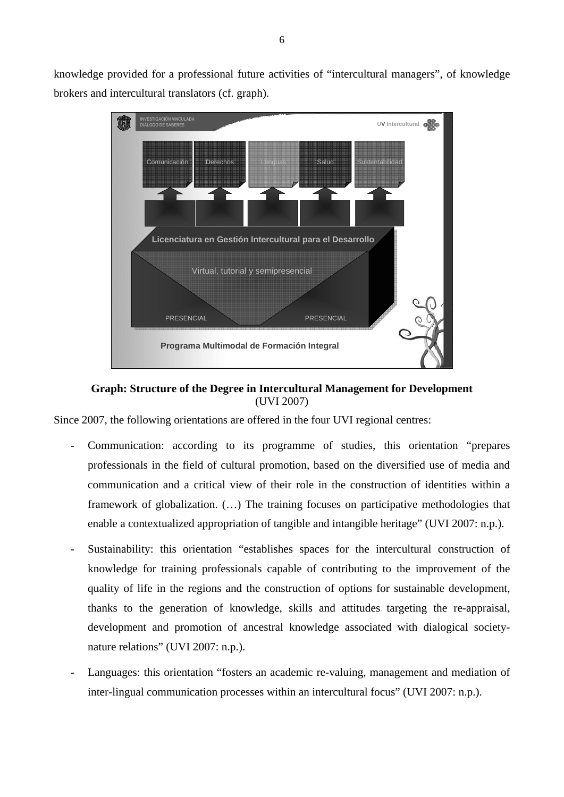knowledge provided for a professional future activities of "intercultural managers", of knowledge brokers and intercultural translators (cf. graph).



# **Graph: Structure of the Degree in Intercultural Management for Development**  (UVI 2007)

Since 2007, the following orientations are offered in the four UVI regional centres:

- Communication: according to its programme of studies, this orientation "prepares professionals in the field of cultural promotion, based on the diversified use of media and communication and a critical view of their role in the construction of identities within a framework of globalization. (…) The training focuses on participative methodologies that enable a contextualized appropriation of tangible and intangible heritage" (UVI 2007: n.p.).
- Sustainability: this orientation "establishes spaces for the intercultural construction of knowledge for training professionals capable of contributing to the improvement of the quality of life in the regions and the construction of options for sustainable development, thanks to the generation of knowledge, skills and attitudes targeting the re-appraisal, development and promotion of ancestral knowledge associated with dialogical societynature relations" (UVI 2007: n.p.).
- Languages: this orientation "fosters an academic re-valuing, management and mediation of inter-lingual communication processes within an intercultural focus" (UVI 2007: n.p.).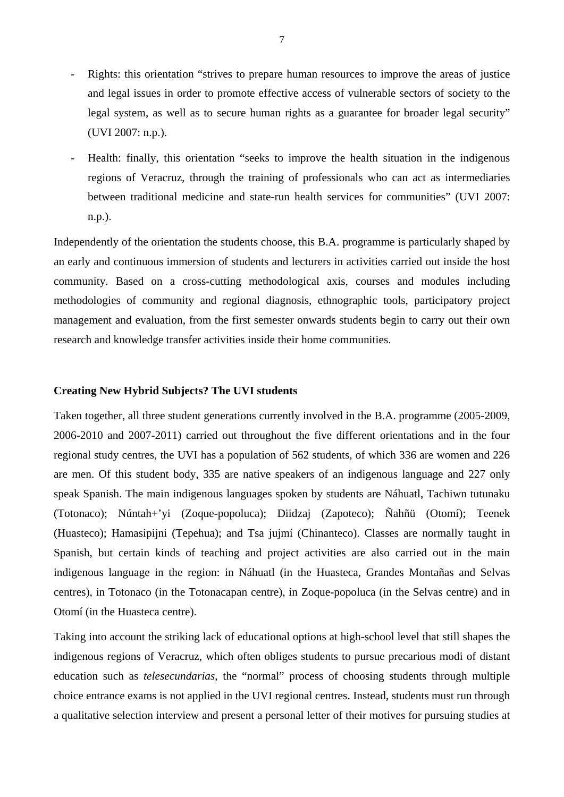- Rights: this orientation "strives to prepare human resources to improve the areas of justice and legal issues in order to promote effective access of vulnerable sectors of society to the legal system, as well as to secure human rights as a guarantee for broader legal security" (UVI 2007: n.p.).
- Health: finally, this orientation "seeks to improve the health situation in the indigenous regions of Veracruz, through the training of professionals who can act as intermediaries between traditional medicine and state-run health services for communities" (UVI 2007: n.p.).

Independently of the orientation the students choose, this B.A. programme is particularly shaped by an early and continuous immersion of students and lecturers in activities carried out inside the host community. Based on a cross-cutting methodological axis, courses and modules including methodologies of community and regional diagnosis, ethnographic tools, participatory project management and evaluation, from the first semester onwards students begin to carry out their own research and knowledge transfer activities inside their home communities.

### **Creating New Hybrid Subjects? The UVI students**

Taken together, all three student generations currently involved in the B.A. programme (2005-2009, 2006-2010 and 2007-2011) carried out throughout the five different orientations and in the four regional study centres, the UVI has a population of 562 students, of which 336 are women and 226 are men. Of this student body, 335 are native speakers of an indigenous language and 227 only speak Spanish. The main indigenous languages spoken by students are Náhuatl, Tachiwn tutunaku (Totonaco); Núntah+'yi (Zoque-popoluca); Diidzaj (Zapoteco); Ñahñü (Otomí); Teenek (Huasteco); Hamasipijni (Tepehua); and Tsa jujmí (Chinanteco). Classes are normally taught in Spanish, but certain kinds of teaching and project activities are also carried out in the main indigenous language in the region: in Náhuatl (in the Huasteca, Grandes Montañas and Selvas centres), in Totonaco (in the Totonacapan centre), in Zoque-popoluca (in the Selvas centre) and in Otomí (in the Huasteca centre).

Taking into account the striking lack of educational options at high-school level that still shapes the indigenous regions of Veracruz, which often obliges students to pursue precarious modi of distant education such as *telesecundarias*, the "normal" process of choosing students through multiple choice entrance exams is not applied in the UVI regional centres. Instead, students must run through a qualitative selection interview and present a personal letter of their motives for pursuing studies at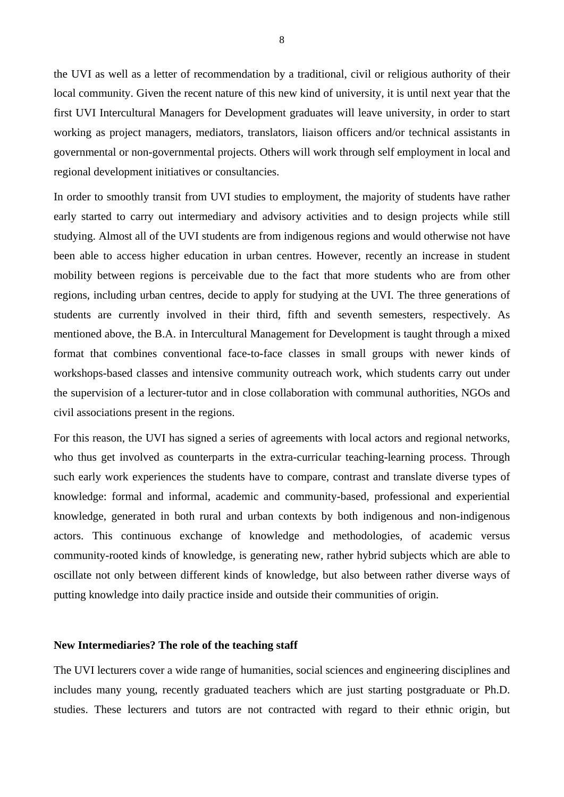the UVI as well as a letter of recommendation by a traditional, civil or religious authority of their local community. Given the recent nature of this new kind of university, it is until next year that the first UVI Intercultural Managers for Development graduates will leave university, in order to start working as project managers, mediators, translators, liaison officers and/or technical assistants in governmental or non-governmental projects. Others will work through self employment in local and regional development initiatives or consultancies.

In order to smoothly transit from UVI studies to employment, the majority of students have rather early started to carry out intermediary and advisory activities and to design projects while still studying. Almost all of the UVI students are from indigenous regions and would otherwise not have been able to access higher education in urban centres. However, recently an increase in student mobility between regions is perceivable due to the fact that more students who are from other regions, including urban centres, decide to apply for studying at the UVI. The three generations of students are currently involved in their third, fifth and seventh semesters, respectively. As mentioned above, the B.A. in Intercultural Management for Development is taught through a mixed format that combines conventional face-to-face classes in small groups with newer kinds of workshops-based classes and intensive community outreach work, which students carry out under the supervision of a lecturer-tutor and in close collaboration with communal authorities, NGOs and civil associations present in the regions.

For this reason, the UVI has signed a series of agreements with local actors and regional networks, who thus get involved as counterparts in the extra-curricular teaching-learning process. Through such early work experiences the students have to compare, contrast and translate diverse types of knowledge: formal and informal, academic and community-based, professional and experiential knowledge, generated in both rural and urban contexts by both indigenous and non-indigenous actors. This continuous exchange of knowledge and methodologies, of academic versus community-rooted kinds of knowledge, is generating new, rather hybrid subjects which are able to oscillate not only between different kinds of knowledge, but also between rather diverse ways of putting knowledge into daily practice inside and outside their communities of origin.

### **New Intermediaries? The role of the teaching staff**

The UVI lecturers cover a wide range of humanities, social sciences and engineering disciplines and includes many young, recently graduated teachers which are just starting postgraduate or Ph.D. studies. These lecturers and tutors are not contracted with regard to their ethnic origin, but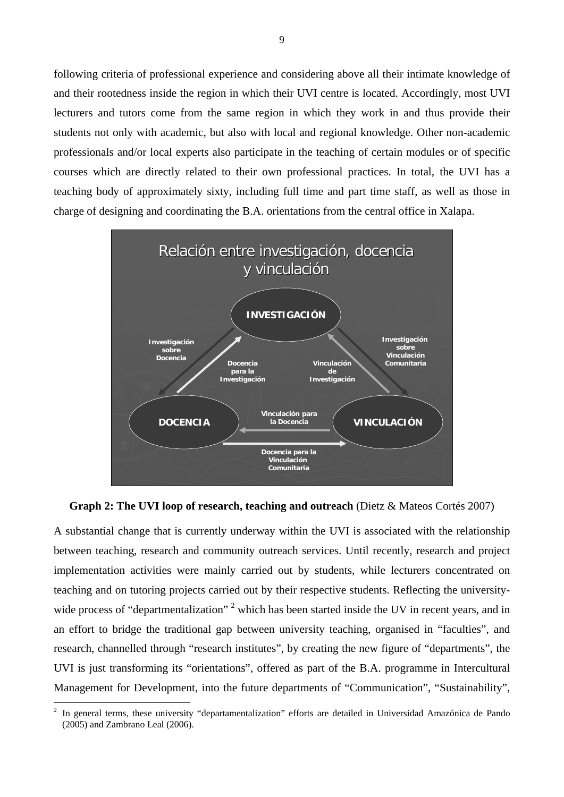following criteria of professional experience and considering above all their intimate knowledge of and their rootedness inside the region in which their UVI centre is located. Accordingly, most UVI lecturers and tutors come from the same region in which they work in and thus provide their students not only with academic, but also with local and regional knowledge. Other non-academic professionals and/or local experts also participate in the teaching of certain modules or of specific courses which are directly related to their own professional practices. In total, the UVI has a teaching body of approximately sixty, including full time and part time staff, as well as those in charge of designing and coordinating the B.A. orientations from the central office in Xalapa.



**Graph 2: The UVI loop of research, teaching and outreach (Dietz & Mateos Cortés 2007)** 

A substantial change that is currently underway within the UVI is associated with the relationship between teaching, research and community outreach services. Until recently, research and project implementation activities were mainly carried out by students, while lecturers concentrated on teaching and on tutoring projects carried out by their respective students. Reflecting the universitywide process of "departmentalization"<sup>2</sup> which has been started inside the UV in recent years, and in an effort to bridge the traditional gap between university teaching, organised in "faculties", and research, channelled through "research institutes", by creating the new figure of "departments", the UVI is just transforming its "orientations", offered as part of the B.A. programme in Intercultural Management for Development, into the future departments of "Communication", "Sustainability",

 $\overline{a}$ 

<sup>2</sup> In general terms, these university "departamentalization" efforts are detailed in Universidad Amazónica de Pando (2005) and Zambrano Leal (2006).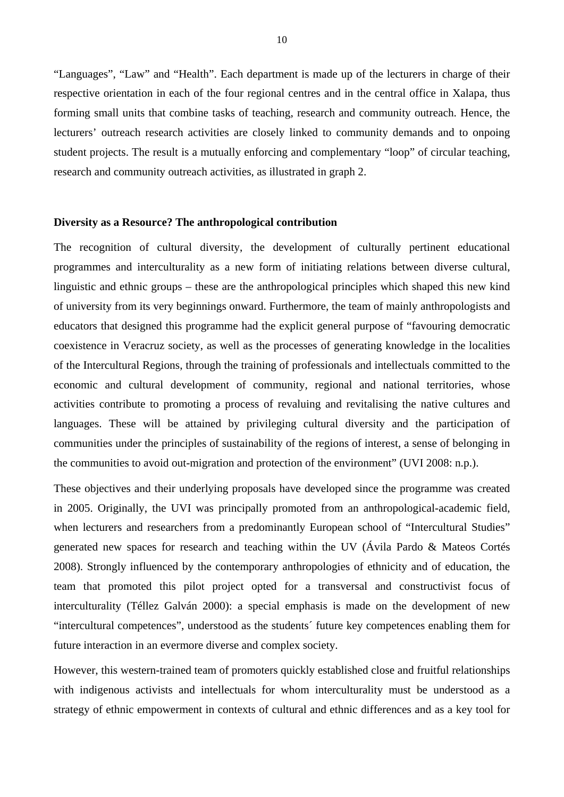"Languages", "Law" and "Health". Each department is made up of the lecturers in charge of their respective orientation in each of the four regional centres and in the central office in Xalapa, thus forming small units that combine tasks of teaching, research and community outreach. Hence, the lecturers' outreach research activities are closely linked to community demands and to onpoing student projects. The result is a mutually enforcing and complementary "loop" of circular teaching, research and community outreach activities, as illustrated in graph 2.

### **Diversity as a Resource? The anthropological contribution**

The recognition of cultural diversity, the development of culturally pertinent educational programmes and interculturality as a new form of initiating relations between diverse cultural, linguistic and ethnic groups – these are the anthropological principles which shaped this new kind of university from its very beginnings onward. Furthermore, the team of mainly anthropologists and educators that designed this programme had the explicit general purpose of "favouring democratic coexistence in Veracruz society, as well as the processes of generating knowledge in the localities of the Intercultural Regions, through the training of professionals and intellectuals committed to the economic and cultural development of community, regional and national territories, whose activities contribute to promoting a process of revaluing and revitalising the native cultures and languages. These will be attained by privileging cultural diversity and the participation of communities under the principles of sustainability of the regions of interest, a sense of belonging in the communities to avoid out-migration and protection of the environment" (UVI 2008: n.p.).

These objectives and their underlying proposals have developed since the programme was created in 2005. Originally, the UVI was principally promoted from an anthropological-academic field, when lecturers and researchers from a predominantly European school of "Intercultural Studies" generated new spaces for research and teaching within the UV (Ávila Pardo & Mateos Cortés 2008). Strongly influenced by the contemporary anthropologies of ethnicity and of education, the team that promoted this pilot project opted for a transversal and constructivist focus of interculturality (Téllez Galván 2000): a special emphasis is made on the development of new "intercultural competences", understood as the students´ future key competences enabling them for future interaction in an evermore diverse and complex society.

However, this western-trained team of promoters quickly established close and fruitful relationships with indigenous activists and intellectuals for whom interculturality must be understood as a strategy of ethnic empowerment in contexts of cultural and ethnic differences and as a key tool for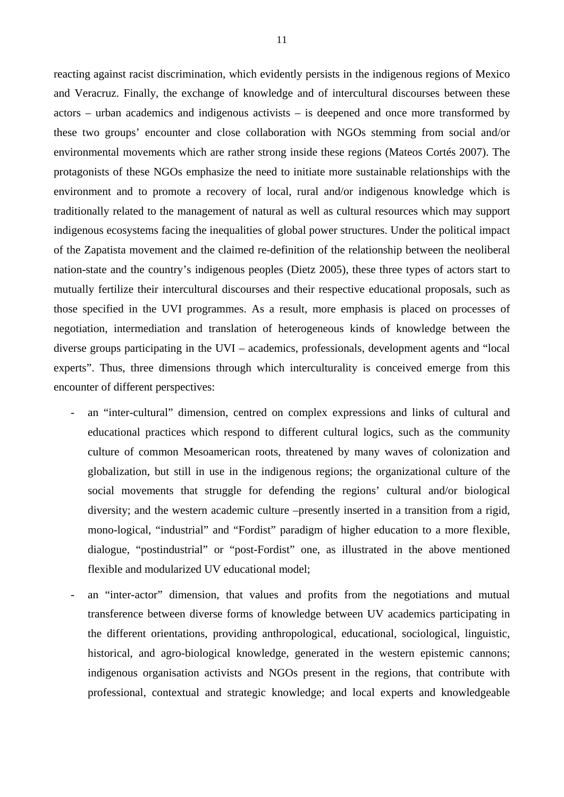reacting against racist discrimination, which evidently persists in the indigenous regions of Mexico and Veracruz. Finally, the exchange of knowledge and of intercultural discourses between these actors – urban academics and indigenous activists – is deepened and once more transformed by these two groups' encounter and close collaboration with NGOs stemming from social and/or environmental movements which are rather strong inside these regions (Mateos Cortés 2007). The protagonists of these NGOs emphasize the need to initiate more sustainable relationships with the environment and to promote a recovery of local, rural and/or indigenous knowledge which is traditionally related to the management of natural as well as cultural resources which may support indigenous ecosystems facing the inequalities of global power structures. Under the political impact of the Zapatista movement and the claimed re-definition of the relationship between the neoliberal nation-state and the country's indigenous peoples (Dietz 2005), these three types of actors start to mutually fertilize their intercultural discourses and their respective educational proposals, such as those specified in the UVI programmes. As a result, more emphasis is placed on processes of negotiation, intermediation and translation of heterogeneous kinds of knowledge between the diverse groups participating in the UVI – academics, professionals, development agents and "local experts". Thus, three dimensions through which interculturality is conceived emerge from this encounter of different perspectives:

- an "inter-cultural" dimension, centred on complex expressions and links of cultural and educational practices which respond to different cultural logics, such as the community culture of common Mesoamerican roots, threatened by many waves of colonization and globalization, but still in use in the indigenous regions; the organizational culture of the social movements that struggle for defending the regions' cultural and/or biological diversity; and the western academic culture –presently inserted in a transition from a rigid, mono-logical, "industrial" and "Fordist" paradigm of higher education to a more flexible, dialogue, "postindustrial" or "post-Fordist" one, as illustrated in the above mentioned flexible and modularized UV educational model;
- an "inter-actor" dimension, that values and profits from the negotiations and mutual transference between diverse forms of knowledge between UV academics participating in the different orientations, providing anthropological, educational, sociological, linguistic, historical, and agro-biological knowledge, generated in the western epistemic cannons; indigenous organisation activists and NGOs present in the regions, that contribute with professional, contextual and strategic knowledge; and local experts and knowledgeable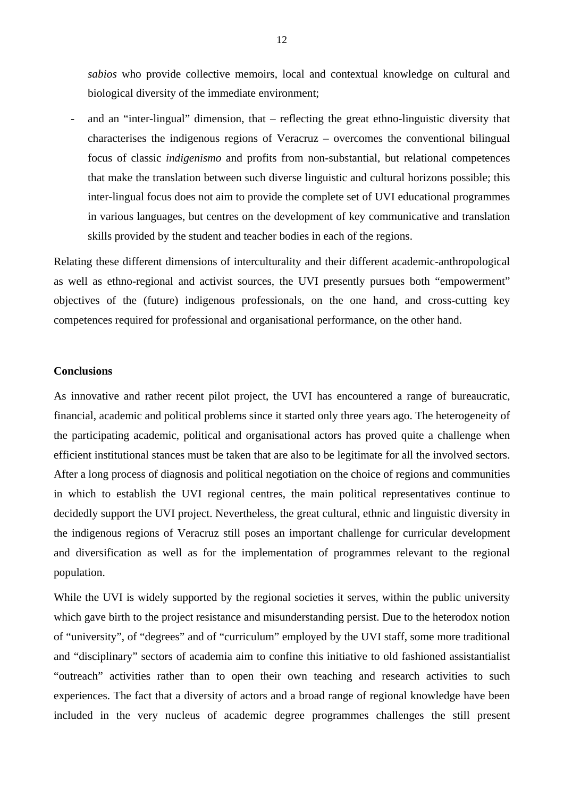*sabios* who provide collective memoirs, local and contextual knowledge on cultural and biological diversity of the immediate environment;

- and an "inter-lingual" dimension, that – reflecting the great ethno-linguistic diversity that characterises the indigenous regions of Veracruz – overcomes the conventional bilingual focus of classic *indigenismo* and profits from non-substantial, but relational competences that make the translation between such diverse linguistic and cultural horizons possible; this inter-lingual focus does not aim to provide the complete set of UVI educational programmes in various languages, but centres on the development of key communicative and translation skills provided by the student and teacher bodies in each of the regions.

Relating these different dimensions of interculturality and their different academic-anthropological as well as ethno-regional and activist sources, the UVI presently pursues both "empowerment" objectives of the (future) indigenous professionals, on the one hand, and cross-cutting key competences required for professional and organisational performance, on the other hand.

### **Conclusions**

As innovative and rather recent pilot project, the UVI has encountered a range of bureaucratic, financial, academic and political problems since it started only three years ago. The heterogeneity of the participating academic, political and organisational actors has proved quite a challenge when efficient institutional stances must be taken that are also to be legitimate for all the involved sectors. After a long process of diagnosis and political negotiation on the choice of regions and communities in which to establish the UVI regional centres, the main political representatives continue to decidedly support the UVI project. Nevertheless, the great cultural, ethnic and linguistic diversity in the indigenous regions of Veracruz still poses an important challenge for curricular development and diversification as well as for the implementation of programmes relevant to the regional population.

While the UVI is widely supported by the regional societies it serves, within the public university which gave birth to the project resistance and misunderstanding persist. Due to the heterodox notion of "university", of "degrees" and of "curriculum" employed by the UVI staff, some more traditional and "disciplinary" sectors of academia aim to confine this initiative to old fashioned assistantialist "outreach" activities rather than to open their own teaching and research activities to such experiences. The fact that a diversity of actors and a broad range of regional knowledge have been included in the very nucleus of academic degree programmes challenges the still present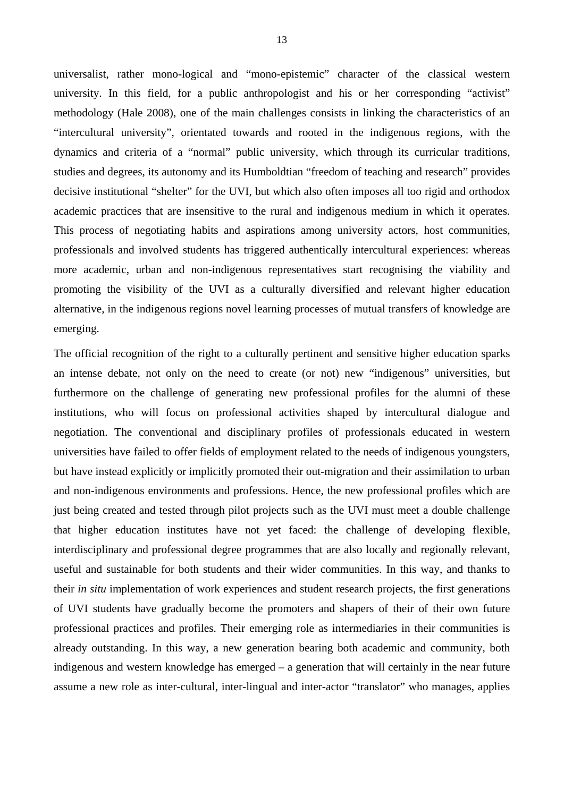universalist, rather mono-logical and "mono-epistemic" character of the classical western university. In this field, for a public anthropologist and his or her corresponding "activist" methodology (Hale 2008), one of the main challenges consists in linking the characteristics of an "intercultural university", orientated towards and rooted in the indigenous regions, with the dynamics and criteria of a "normal" public university, which through its curricular traditions, studies and degrees, its autonomy and its Humboldtian "freedom of teaching and research" provides decisive institutional "shelter" for the UVI, but which also often imposes all too rigid and orthodox academic practices that are insensitive to the rural and indigenous medium in which it operates. This process of negotiating habits and aspirations among university actors, host communities, professionals and involved students has triggered authentically intercultural experiences: whereas more academic, urban and non-indigenous representatives start recognising the viability and promoting the visibility of the UVI as a culturally diversified and relevant higher education alternative, in the indigenous regions novel learning processes of mutual transfers of knowledge are emerging.

The official recognition of the right to a culturally pertinent and sensitive higher education sparks an intense debate, not only on the need to create (or not) new "indigenous" universities, but furthermore on the challenge of generating new professional profiles for the alumni of these institutions, who will focus on professional activities shaped by intercultural dialogue and negotiation. The conventional and disciplinary profiles of professionals educated in western universities have failed to offer fields of employment related to the needs of indigenous youngsters, but have instead explicitly or implicitly promoted their out-migration and their assimilation to urban and non-indigenous environments and professions. Hence, the new professional profiles which are just being created and tested through pilot projects such as the UVI must meet a double challenge that higher education institutes have not yet faced: the challenge of developing flexible, interdisciplinary and professional degree programmes that are also locally and regionally relevant, useful and sustainable for both students and their wider communities. In this way, and thanks to their *in situ* implementation of work experiences and student research projects, the first generations of UVI students have gradually become the promoters and shapers of their of their own future professional practices and profiles. Their emerging role as intermediaries in their communities is already outstanding. In this way, a new generation bearing both academic and community, both indigenous and western knowledge has emerged – a generation that will certainly in the near future assume a new role as inter-cultural, inter-lingual and inter-actor "translator" who manages, applies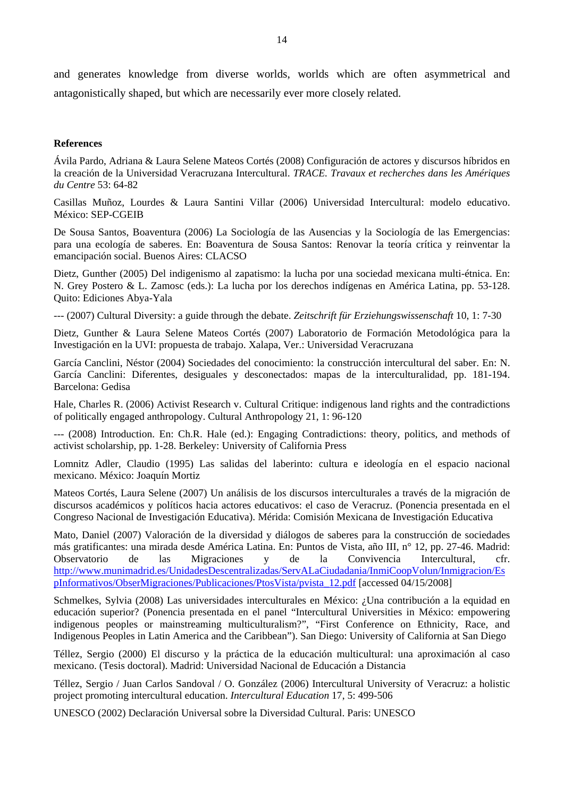and generates knowledge from diverse worlds, worlds which are often asymmetrical and antagonistically shaped, but which are necessarily ever more closely related.

### **References**

Ávila Pardo, Adriana & Laura Selene Mateos Cortés (2008) Configuración de actores y discursos híbridos en la creación de la Universidad Veracruzana Intercultural. *TRACE. Travaux et recherches dans les Amériques du Centre* 53: 64-82

Casillas Muñoz, Lourdes & Laura Santini Villar (2006) Universidad Intercultural: modelo educativo. México: SEP-CGEIB

De Sousa Santos, Boaventura (2006) La Sociología de las Ausencias y la Sociología de las Emergencias: para una ecología de saberes. En: Boaventura de Sousa Santos: Renovar la teoría crítica y reinventar la emancipación social. Buenos Aires: CLACSO

Dietz, Gunther (2005) Del indigenismo al zapatismo: la lucha por una sociedad mexicana multi-étnica. En: N. Grey Postero & L. Zamosc (eds.): La lucha por los derechos indígenas en América Latina, pp. 53-128. Quito: Ediciones Abya-Yala

--- (2007) Cultural Diversity: a guide through the debate. *Zeitschrift für Erziehungswissenschaft* 10, 1: 7-30

Dietz, Gunther & Laura Selene Mateos Cortés (2007) Laboratorio de Formación Metodológica para la Investigación en la UVI: propuesta de trabajo. Xalapa, Ver.: Universidad Veracruzana

García Canclini, Néstor (2004) Sociedades del conocimiento: la construcción intercultural del saber. En: N. García Canclini: Diferentes, desiguales y desconectados: mapas de la interculturalidad, pp. 181-194. Barcelona: Gedisa

Hale, Charles R. (2006) Activist Research v. Cultural Critique: indigenous land rights and the contradictions of politically engaged anthropology. Cultural Anthropology 21, 1: 96-120

--- (2008) Introduction. En: Ch.R. Hale (ed.): Engaging Contradictions: theory, politics, and methods of activist scholarship, pp. 1-28. Berkeley: University of California Press

Lomnitz Adler, Claudio (1995) Las salidas del laberinto: cultura e ideología en el espacio nacional mexicano. México: Joaquín Mortiz

Mateos Cortés, Laura Selene (2007) Un análisis de los discursos interculturales a través de la migración de discursos académicos y políticos hacia actores educativos: el caso de Veracruz. (Ponencia presentada en el Congreso Nacional de Investigación Educativa). Mérida: Comisión Mexicana de Investigación Educativa

Mato, Daniel (2007) Valoración de la diversidad y diálogos de saberes para la construcción de sociedades más gratificantes: una mirada desde América Latina. En: Puntos de Vista, año III, n° 12, pp. 27-46. Madrid: Observatorio de las Migraciones y de la Convivencia Intercultural, cfr. http://www.munimadrid.es/UnidadesDescentralizadas/ServALaCiudadania/InmiCoopVolun/Inmigracion/Es pInformativos/ObserMigraciones/Publicaciones/PtosVista/pvista\_12.pdf [accessed 04/15/2008]

Schmelkes, Sylvia (2008) Las universidades interculturales en México: ¿Una contribución a la equidad en educación superior? (Ponencia presentada en el panel "Intercultural Universities in México: empowering indigenous peoples or mainstreaming multiculturalism?", "First Conference on Ethnicity, Race, and Indigenous Peoples in Latin America and the Caribbean"). San Diego: University of California at San Diego

Téllez, Sergio (2000) El discurso y la práctica de la educación multicultural: una aproximación al caso mexicano. (Tesis doctoral). Madrid: Universidad Nacional de Educación a Distancia

Téllez, Sergio / Juan Carlos Sandoval / O. González (2006) Intercultural University of Veracruz: a holistic project promoting intercultural education. *Intercultural Education* 17, 5: 499-506

UNESCO (2002) Declaración Universal sobre la Diversidad Cultural. Paris: UNESCO